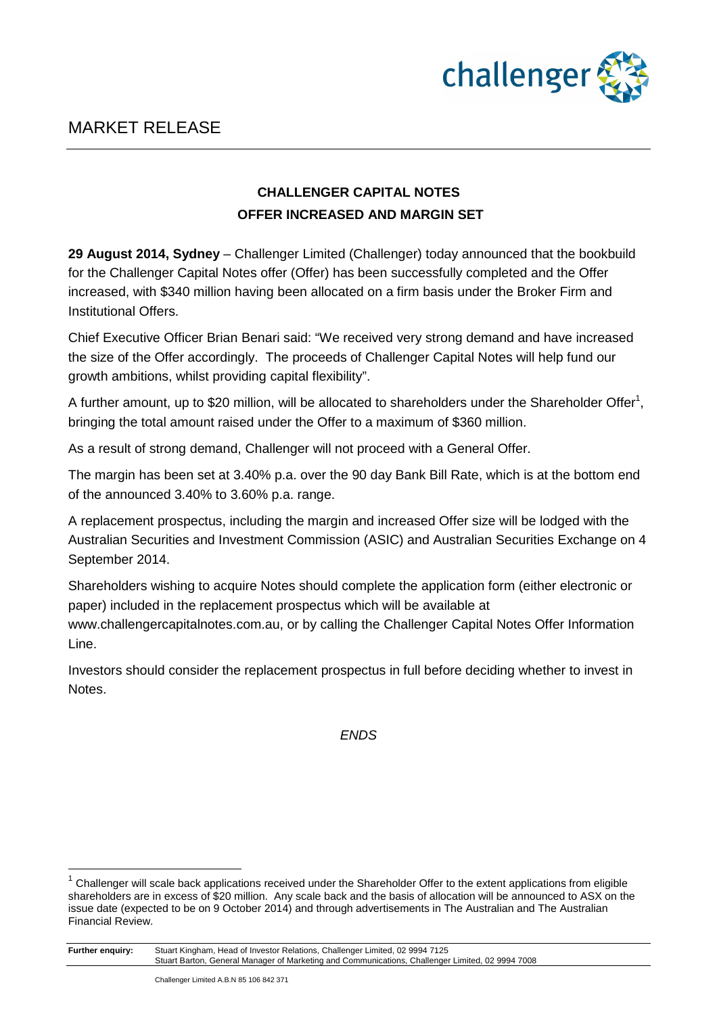

# **CHALLENGER CAPITAL NOTES OFFER INCREASED AND MARGIN SET**

**29 August 2014, Sydney** – Challenger Limited (Challenger) today announced that the bookbuild for the Challenger Capital Notes offer (Offer) has been successfully completed and the Offer increased, with \$340 million having been allocated on a firm basis under the Broker Firm and Institutional Offers.

Chief Executive Officer Brian Benari said: "We received very strong demand and have increased the size of the Offer accordingly. The proceeds of Challenger Capital Notes will help fund our growth ambitions, whilst providing capital flexibility".

A further amount, up to \$20 million, will be allocated to shareholders under the Shareholder Offer<sup>1</sup>, bringing the total amount raised under the Offer to a maximum of \$360 million.

As a result of strong demand, Challenger will not proceed with a General Offer.

The margin has been set at 3.40% p.a. over the 90 day Bank Bill Rate, which is at the bottom end of the announced 3.40% to 3.60% p.a. range.

A replacement prospectus, including the margin and increased Offer size will be lodged with the Australian Securities and Investment Commission (ASIC) and Australian Securities Exchange on 4 September 2014.

Shareholders wishing to acquire Notes should complete the application form (either electronic or paper) included in the replacement prospectus which will be available at www.challengercapitalnotes.com.au, or by calling the Challenger Capital Notes Offer Information

Line.

Investors should consider the replacement prospectus in full before deciding whether to invest in Notes.

ENDS

**Further enquiry:** Stuart Kingham, Head of Investor Relations, Challenger Limited, 02 9994 7125 Stuart Barton, General Manager of Marketing and Communications, Challenger Limited, 02 9994 7008

 $\overline{a}$ 

 $1$  Challenger will scale back applications received under the Shareholder Offer to the extent applications from eligible shareholders are in excess of \$20 million. Any scale back and the basis of allocation will be announced to ASX on the issue date (expected to be on 9 October 2014) and through advertisements in The Australian and The Australian Financial Review.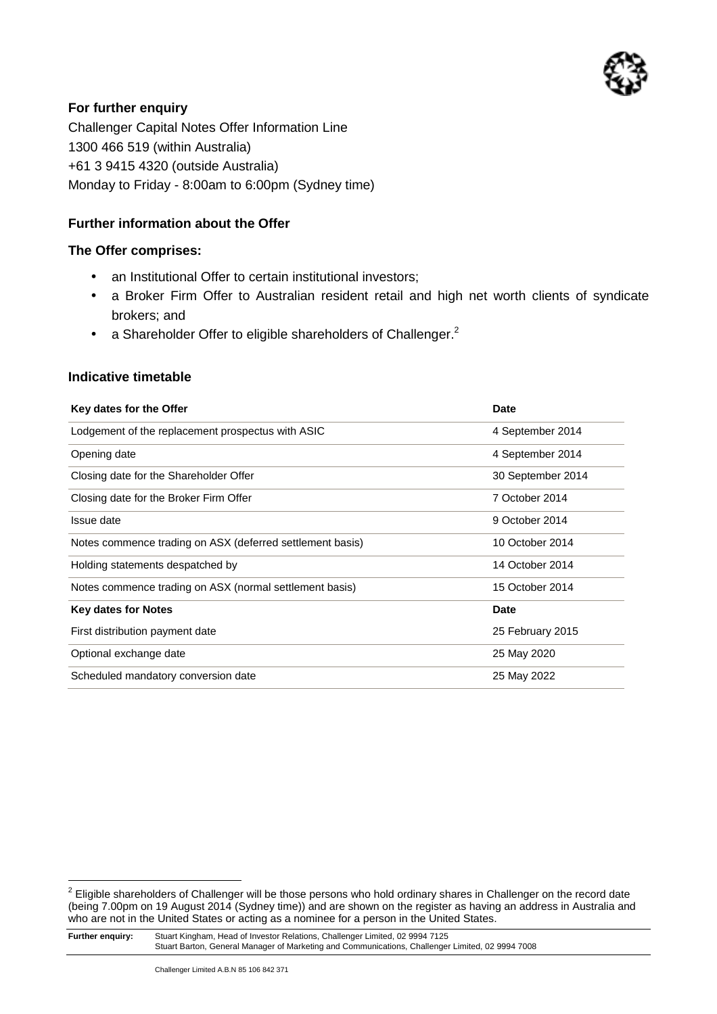

# **For further enquiry**

Challenger Capital Notes Offer Information Line 1300 466 519 (within Australia) +61 3 9415 4320 (outside Australia) Monday to Friday - 8:00am to 6:00pm (Sydney time)

# **Further information about the Offer**

## **The Offer comprises:**

- an Institutional Offer to certain institutional investors;
- a Broker Firm Offer to Australian resident retail and high net worth clients of syndicate brokers; and
- a Shareholder Offer to eligible shareholders of Challenger. $^2$

#### **Indicative timetable**

| Key dates for the Offer                                   | Date              |
|-----------------------------------------------------------|-------------------|
| Lodgement of the replacement prospectus with ASIC         | 4 September 2014  |
| Opening date                                              | 4 September 2014  |
| Closing date for the Shareholder Offer                    | 30 September 2014 |
| Closing date for the Broker Firm Offer                    | 7 October 2014    |
| Issue date                                                | 9 October 2014    |
| Notes commence trading on ASX (deferred settlement basis) | 10 October 2014   |
| Holding statements despatched by                          | 14 October 2014   |
| Notes commence trading on ASX (normal settlement basis)   | 15 October 2014   |
| <b>Key dates for Notes</b>                                | <b>Date</b>       |
| First distribution payment date                           | 25 February 2015  |
| Optional exchange date                                    | 25 May 2020       |
| Scheduled mandatory conversion date                       | 25 May 2022       |

 2 Eligible shareholders of Challenger will be those persons who hold ordinary shares in Challenger on the record date (being 7.00pm on 19 August 2014 (Sydney time)) and are shown on the register as having an address in Australia and who are not in the United States or acting as a nominee for a person in the United States.

**Further enquiry:** Stuart Kingham, Head of Investor Relations, Challenger Limited, 02 9994 7125 Stuart Barton, General Manager of Marketing and Communications, Challenger Limited, 02 9994 7008